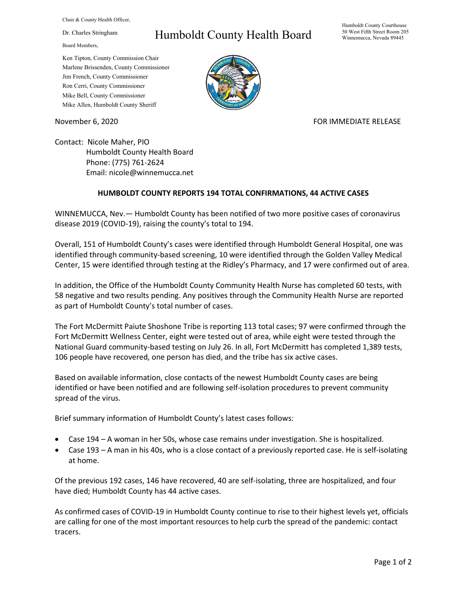Chair & County Health Officer,

Dr. Charles Stringham

Board Members,

## Humboldt County Health Board

Humboldt County Courthouse 50 West Fifth Street Room 205 Winnemucca, Nevada 89445

Ken Tipton, County Commission Chair Marlene Brissenden, County Commissioner Jim French, County Commissioner Ron Cerri, County Commissioner Mike Bell, County Commissioner Mike Allen, Humboldt County Sheriff

November 6, 2020 FOR IMMEDIATE RELEASE

Contact: Nicole Maher, PIO Humboldt County Health Board Phone: (775) 761-2624 Email: nicole@winnemucca.net

## **HUMBOLDT COUNTY REPORTS 194 TOTAL CONFIRMATIONS, 44 ACTIVE CASES**

WINNEMUCCA, Nev.— Humboldt County has been notified of two more positive cases of coronavirus disease 2019 (COVID-19), raising the county's total to 194.

Overall, 151 of Humboldt County's cases were identified through Humboldt General Hospital, one was identified through community-based screening, 10 were identified through the Golden Valley Medical Center, 15 were identified through testing at the Ridley's Pharmacy, and 17 were confirmed out of area.

In addition, the Office of the Humboldt County Community Health Nurse has completed 60 tests, with 58 negative and two results pending. Any positives through the Community Health Nurse are reported as part of Humboldt County's total number of cases.

The Fort McDermitt Paiute Shoshone Tribe is reporting 113 total cases; 97 were confirmed through the Fort McDermitt Wellness Center, eight were tested out of area, while eight were tested through the National Guard community-based testing on July 26. In all, Fort McDermitt has completed 1,389 tests, 106 people have recovered, one person has died, and the tribe has six active cases.

Based on available information, close contacts of the newest Humboldt County cases are being identified or have been notified and are following self-isolation procedures to prevent community spread of the virus.

Brief summary information of Humboldt County's latest cases follows:

- Case 194 A woman in her 50s, whose case remains under investigation. She is hospitalized.
- Case 193 A man in his 40s, who is a close contact of a previously reported case. He is self-isolating at home.

Of the previous 192 cases, 146 have recovered, 40 are self-isolating, three are hospitalized, and four have died; Humboldt County has 44 active cases.

As confirmed cases of COVID-19 in Humboldt County continue to rise to their highest levels yet, officials are calling for one of the most important resources to help curb the spread of the pandemic: contact tracers.